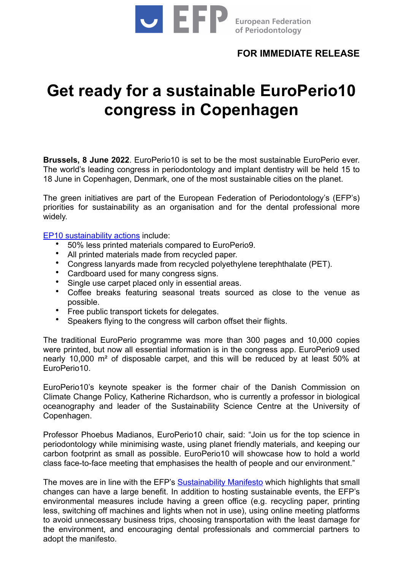

## **FOR IMMEDIATE RELEASE**

## **Get ready for a sustainable EuroPerio10 congress in Copenhagen**

**Brussels, 8 June 2022**. EuroPerio10 is set to be the most sustainable EuroPerio ever. The world's leading congress in periodontology and implant dentistry will be held 15 to 18 June in Copenhagen, Denmark, one of the most sustainable cities on the planet.

The green initiatives are part of the European Federation of Periodontology's (EFP's) priorities for sustainability as an organisation and for the dental professional more widely.

[EP10 sustainability actions](https://www.efp.org/about-europerio/sustainability-at-europerio10/) include:

- 50% less printed materials compared to EuroPerio9.
- All printed materials made from recycled paper.
- Congress lanyards made from recycled polyethylene terephthalate (PET).
- Cardboard used for many congress signs.
- Single use carpet placed only in essential areas.
- Coffee breaks featuring seasonal treats sourced as close to the venue as possible.
- Free public transport tickets for delegates.
- Speakers flying to the congress will carbon offset their flights.

The traditional EuroPerio programme was more than 300 pages and 10,000 copies were printed, but now all essential information is in the congress app. EuroPerio9 used nearly 10,000 m² of disposable carpet, and this will be reduced by at least 50% at EuroPerio10.

EuroPerio10's keynote speaker is the former chair of the Danish Commission on Climate Change Policy, Katherine Richardson, who is currently a professor in biological oceanography and leader of the Sustainability Science Centre at the University of Copenhagen.

Professor Phoebus Madianos, EuroPerio10 chair, said: "Join us for the top science in periodontology while minimising waste, using planet friendly materials, and keeping our carbon footprint as small as possible. EuroPerio10 will showcase how to hold a world class face-to-face meeting that emphasises the health of people and our environment."

The moves are in line with the EFP's [Sustainability Manifesto](https://www.efp.org/about-the-efp/who-we-are-what-we-do/sustainability-manifesto/) which highlights that small changes can have a large benefit. In addition to hosting sustainable events, the EFP's environmental measures include having a green office (e.g. recycling paper, printing less, switching off machines and lights when not in use), using online meeting platforms to avoid unnecessary business trips, choosing transportation with the least damage for the environment, and encouraging dental professionals and commercial partners to adopt the manifesto.